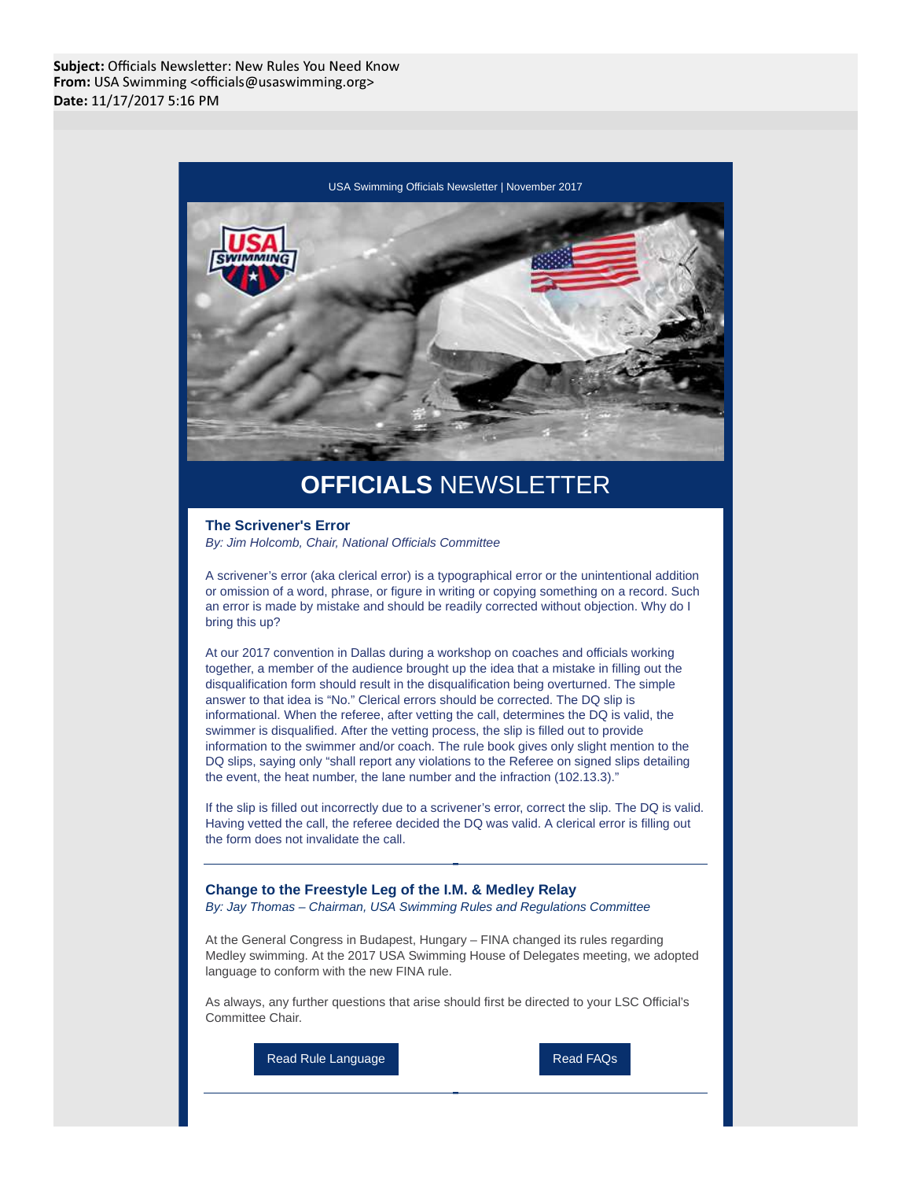

## **OFFICIALS** NEWSLETTER

## **The Scrivener's Error** By: Jim Holcomb, Chair, National Officials Committee

A scrivener's error (aka clerical error) is a typographical error or the unintentional addition or omission of a word, phrase, or figure in writing or copying something on a record. Such an error is made by mistake and should be readily corrected without objection. Why do I bring this up?

At our 2017 convention in Dallas during a workshop on coaches and officials working together, a member of the audience brought up the idea that a mistake in filling out the disqualification form should result in the disqualification being overturned. The simple answer to that idea is "No." Clerical errors should be corrected. The DQ slip is informational. When the referee, after vetting the call, determines the DQ is valid, the swimmer is disqualified. After the vetting process, the slip is filled out to provide information to the swimmer and/or coach. The rule book gives only slight mention to the DQ slips, saying only "shall report any violations to the Referee on signed slips detailing the event, the heat number, the lane number and the infraction (102.13.3)."

If the slip is filled out incorrectly due to a scrivener's error, correct the slip. The DQ is valid. Having vetted the call, the referee decided the DQ was valid. A clerical error is filling out the form does not invalidate the call.

**Change to the Freestyle Leg of the I.M. & Medley Relay** By: Jay Thomas – Chairman, USA Swimming Rules and Regulations Committee

At the General Congress in Budapest, Hungary – FINA changed its rules regarding Medley swimming. At the 2017 USA Swimming House of Delegates meeting, we adopted language to conform with the new FINA rule.

As always, any further questions that arise should first be directed to your LSC Official's Committee Chair.

Read Rule Language **Read FAQs**